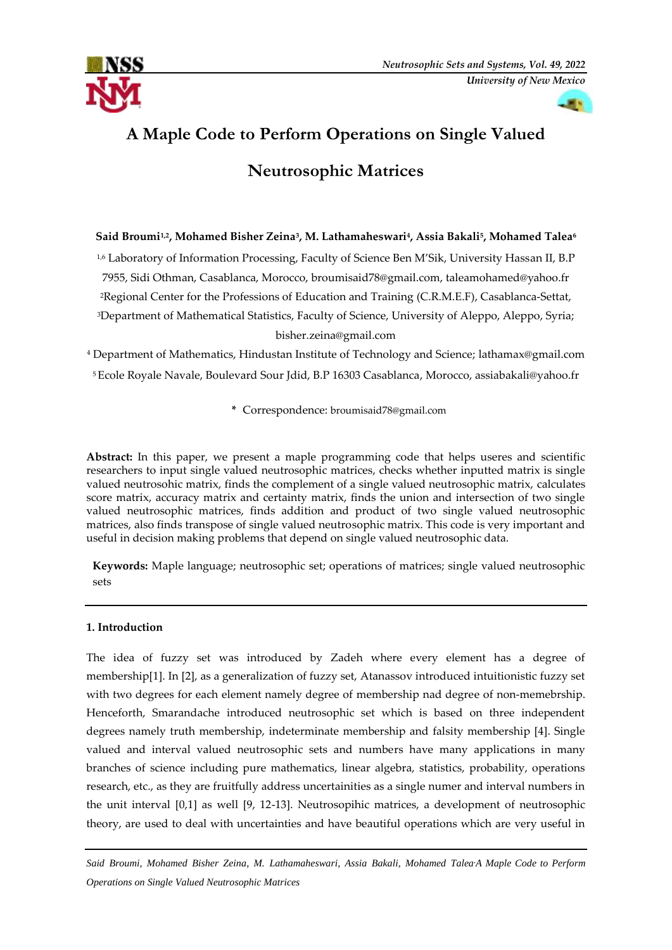



# **A Maple Code to Perform Operations on Single Valued**

# **Neutrosophic Matrices**

# **Said Broumi1,2, Mohamed Bisher Zeina<sup>3</sup> , M. Lathamaheswari<sup>4</sup> , Assia Bakali<sup>5</sup> , Mohamed Talea<sup>6</sup>**

1,6 Laboratory of Information Processing, Faculty of Science Ben M'Sik, University Hassan II, B.P 7955, Sidi Othman, Casablanca, Morocco, [broumisaid78@gmail.com,](mailto:1broumisaid78@gmail.com) [taleamohamed@yahoo.fr](mailto:taleamohamed@yahoo.fr) <sup>2</sup>Regional Center for the Professions of Education and Training (C.R.M.E.F), Casablanca-Settat, <sup>3</sup>Department of Mathematical Statistics, Faculty of Science, University of Aleppo, Aleppo, Syria;

# [bisher.zeina@gmail.com](mailto:bisher.zeina@gmail.com)

<sup>4</sup> Department of Mathematics, Hindustan Institute of Technology and Science; [lathamax@gmail.com](mailto:lathamax@gmail.com) <sup>5</sup> Ecole Royale Navale, Boulevard Sour Jdid, B.P 16303 Casablanca, Morocco, [assiabakali@yahoo.fr](mailto:assiabakali@yahoo.fr)

**\*** Correspondence: [broumisaid78@gmail.com](mailto:1broumisaid78@gmail.com)

**Abstract:** In this paper, we present a maple programming code that helps useres and scientific researchers to input single valued neutrosophic matrices, checks whether inputted matrix is single valued neutrosohic matrix, finds the complement of a single valued neutrosophic matrix, calculates score matrix, accuracy matrix and certainty matrix, finds the union and intersection of two single valued neutrosophic matrices, finds addition and product of two single valued neutrosophic matrices, also finds transpose of single valued neutrosophic matrix. This code is very important and useful in decision making problems that depend on single valued neutrosophic data.

**Keywords:** Maple language; neutrosophic set; operations of matrices; single valued neutrosophic sets

# **1. Introduction**

The idea of fuzzy set was introduced by Zadeh where every element has a degree of membership[1]. In [2], as a generalization of fuzzy set, Atanassov introduced intuitionistic fuzzy set with two degrees for each element namely degree of membership nad degree of non-memebrship. Henceforth, Smarandache introduced neutrosophic set which is based on three independent degrees namely truth membership, indeterminate membership and falsity membership [4]. Single valued and interval valued neutrosophic sets and numbers have many applications in many branches of science including pure mathematics, linear algebra, statistics, probability, operations research, etc., as they are fruitfully address uncertainities as a single numer and interval numbers in the unit interval [0,1] as well [9, 12-13]. Neutrosopihic matrices, a development of neutrosophic theory, are used to deal with uncertainties and have beautiful operations which are very useful in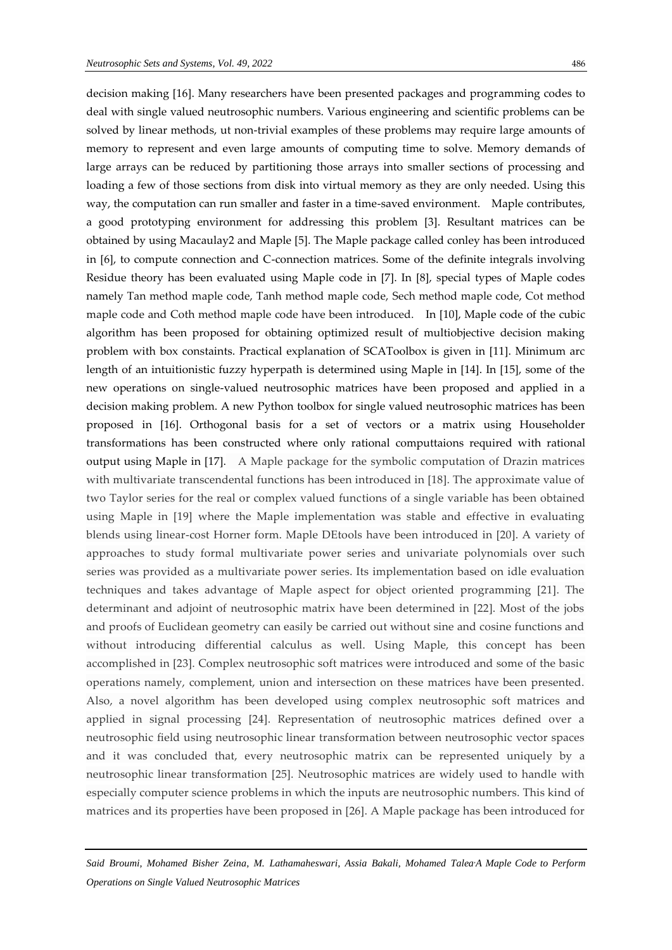decision making [16]. Many researchers have been presented packages and programming codes to deal with single valued neutrosophic numbers. Various engineering and scientific problems can be solved by linear methods, ut non-trivial examples of these problems may require large amounts of memory to represent and even large amounts of computing time to solve. Memory demands of large arrays can be reduced by partitioning those arrays into smaller sections of processing and loading a few of those sections from disk into virtual memory as they are only needed. Using this way, the computation can run smaller and faster in a time-saved environment. Maple contributes, a good prototyping environment for addressing this problem [3]. Resultant matrices can be obtained by using Macaulay2 and Maple [5]. The Maple package called conley has been introduced in [6], to compute connection and C-connection matrices. Some of the definite integrals involving Residue theory has been evaluated using Maple code in [7]. In [8], special types of Maple codes namely Tan method maple code, Tanh method maple code, Sech method maple code, Cot method maple code and Coth method maple code have been introduced. In [10], Maple code of the cubic algorithm has been proposed for obtaining optimized result of multiobjective decision making problem with box constaints. Practical explanation of SCAToolbox is given in [11]. Minimum arc length of an intuitionistic fuzzy hyperpath is determined using Maple in [14]. In [15], some of the new operations on single-valued neutrosophic matrices have been proposed and applied in a decision making problem. A new Python toolbox for single valued neutrosophic matrices has been proposed in [16]. Orthogonal basis for a set of vectors or a matrix using Householder transformations has been constructed where only rational computtaions required with rational output using Maple in [17]. A Maple package for the symbolic computation of Drazin matrices with multivariate transcendental functions has been introduced in [18]. The approximate value of two Taylor series for the real or complex valued functions of a single variable has been obtained using Maple in [19] where the Maple implementation was stable and effective in evaluating blends using linear-cost Horner form. Maple DEtools have been introduced in [20]. A variety of approaches to study formal multivariate power series and univariate polynomials over such series was provided as a multivariate power series. Its implementation based on idle evaluation techniques and takes advantage of Maple aspect for object oriented programming [21]. The determinant and adjoint of neutrosophic matrix have been determined in [22]. Most of the jobs and proofs of Euclidean geometry can easily be carried out without sine and cosine functions and without introducing differential calculus as well. Using Maple, this concept has been accomplished in [23]. Complex neutrosophic soft matrices were introduced and some of the basic operations namely, complement, union and intersection on these matrices have been presented. Also, a novel algorithm has been developed using complex neutrosophic soft matrices and applied in signal processing [24]. Representation of neutrosophic matrices defined over a neutrosophic field using neutrosophic linear transformation between neutrosophic vector spaces and it was concluded that, every neutrosophic matrix can be represented uniquely by a neutrosophic linear transformation [25]. Neutrosophic matrices are widely used to handle with especially computer science problems in which the inputs are neutrosophic numbers. This kind of matrices and its properties have been proposed in [26]. A Maple package has been introduced for

*Said Broumi, Mohamed Bisher Zeina, M. Lathamaheswari, Assia Bakali, Mohamed Talea,A Maple Code to Perform Operations on Single Valued Neutrosophic Matrices*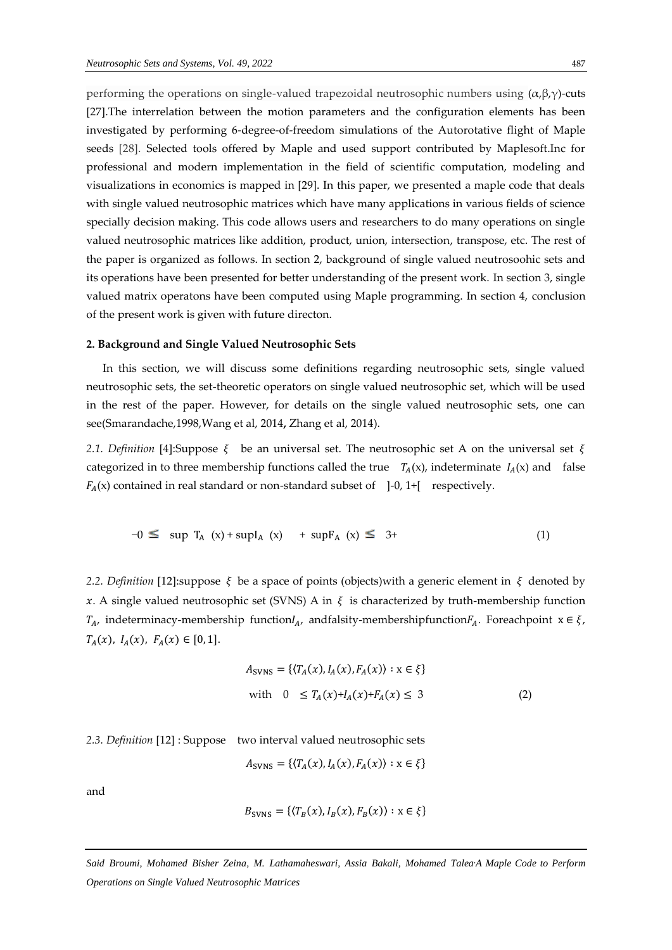performing the operations on single-valued trapezoidal neutrosophic numbers using  $(α, β, γ)$ -cuts [27].The interrelation between the motion parameters and the configuration elements has been investigated by performing 6-degree-of-freedom simulations of the Autorotative flight of Maple seeds [28]. Selected tools offered by Maple and used support contributed by Maplesoft.Inc for professional and modern implementation in the field of scientific computation, modeling and visualizations in economics is mapped in [29]. In this paper, we presented a maple code that deals with single valued neutrosophic matrices which have many applications in various fields of science specially decision making. This code allows users and researchers to do many operations on single valued neutrosophic matrices like addition, product, union, intersection, transpose, etc. The rest of the paper is organized as follows. In section 2, background of single valued neutrosoohic sets and its operations have been presented for better understanding of the present work. In section 3, single valued matrix operatons have been computed using Maple programming. In section 4, conclusion of the present work is given with future directon.

#### **2. Background and Single Valued Neutrosophic Sets**

In this section, we will discuss some definitions regarding neutrosophic sets, single valued neutrosophic sets, the set-theoretic operators on single valued neutrosophic set, which will be used in the rest of the paper. However, for details on the single valued neutrosophic sets, one can see(Smarandache,1998,Wang et al, 2014**,** Zhang et al, 2014).

2.1. *Definition* [4]:Suppose  $\xi$  be an universal set. The neutrosophic set A on the universal set  $\xi$ categorized in to three membership functions called the true  $T_A(x)$ , indeterminate  $I_A(x)$  and false  $F_A(x)$  contained in real standard or non-standard subset of ]-0, 1+[ respectively.

$$
-0 \le \sup T_A(x) + \sup I_A(x) + \sup F_A(x) \le 3 + \tag{1}
$$

*2.2. Definition* [12]:suppose  $\xi$  be a space of points (objects)with a generic element in  $\xi$  denoted by x. A single valued neutrosophic set (SVNS) A in  $\xi$  is characterized by truth-membership function  $T_A$ , indeterminacy-membership function $I_A$ , andfalsity-membershipfunction $F_A$ . Foreachpoint  $x \in \xi$ ,  $T_A(x)$ ,  $I_A(x)$ ,  $F_A(x) \in [0, 1]$ .

$$
A_{\text{SVNS}} = \{ (T_A(x), I_A(x), F_A(x)) : x \in \xi \}
$$
  
with  $0 \le T_A(x) + I_A(x) + F_A(x) \le 3$  (2)

*2.3. Definition* [12] : Suppose two interval valued neutrosophic sets

$$
A_{\text{SVNS}} = \{ \langle T_A(x), I_A(x), F_A(x) \rangle : x \in \xi \}
$$

and

$$
B_{\text{SVNS}} = \{ \langle T_B(x), I_B(x), F_B(x) \rangle : x \in \xi \}
$$

*Said Broumi, Mohamed Bisher Zeina, M. Lathamaheswari, Assia Bakali, Mohamed Talea,A Maple Code to Perform Operations on Single Valued Neutrosophic Matrices*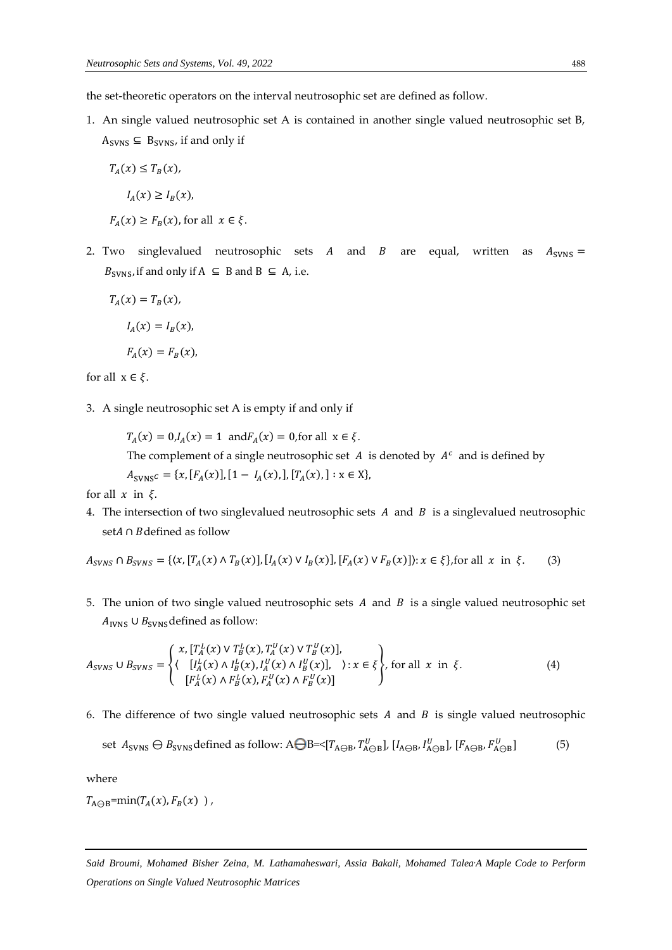the set-theoretic operators on the interval neutrosophic set are defined as follow.

1. An single valued neutrosophic set A is contained in another single valued neutrosophic set B,  $A_{SVNS} \subseteq B_{SVNS}$ , if and only if

$$
T_A(x) \leq T_B(x),
$$

$$
I_A(x) \geq I_B(x),
$$

- $F_A(x) \geq F_B(x)$ , for all  $x \in \xi$ .
- 2. Two singlevalued neutrosophic sets A and B are equal, written as  $A_{\text{SVNS}} =$  $B_{SVNS}$ , if and only if  $A \subseteq B$  and  $B \subseteq A$ , i.e.

$$
T_A(x) = T_B(x),
$$
  

$$
I_A(x) = I_B(x),
$$

$$
F_A(x) = F_B(x),
$$

for all  $x \in \xi$ .

3. A single neutrosophic set A is empty if and only if

 $T_A(x) = 0, I_A(x) = 1$  and  $F_A(x) = 0$ , for all  $x \in \xi$ . The complement of a single neutrosophic set  $A$  is denoted by  $A<sup>c</sup>$  and is defined by  $A_{\text{SVNS}}c = \{x, [F_A(x)], [1 - I_A(x),], [T_A(x),] : x \in X\},\$ 

for all  $x$  in  $\xi$ .

4. The intersection of two singlevalued neutrosophic sets  $A$  and  $B$  is a singlevalued neutrosophic set $A$  ∩  $B$ defined as follow

$$
A_{SVNS} \cap B_{SVNS} = \{ (x, [T_A(x) \land T_B(x)], [I_A(x) \lor I_B(x)], [F_A(x) \lor F_B(x)] \colon x \in \xi \}, \text{for all } x \text{ in } \xi. \tag{3}
$$

5. The union of two single valued neutrosophic sets  $A$  and  $B$  is a single valued neutrosophic set  $A<sub>IVNS</sub> ∪ B<sub>SVNS</sub> defined as follow:$ 

$$
A_{SVNS} \cup B_{SVNS} = \begin{cases} x, [T_A^L(x) \vee T_B^L(x), T_A^U(x) \vee T_B^U(x)], \\ \langle [I_A^L(x) \wedge I_B^L(x), I_A^U(x) \wedge I_B^U(x)], \rangle : x \in \xi \end{cases}, \text{ for all } x \text{ in } \xi. \tag{4}
$$

6. The difference of two single valued neutrosophic sets  $A$  and  $B$  is single valued neutrosophic

set 
$$
A_{SVNS} \ominus B_{SVNS}
$$
 defined as follow:  $A \ominus B = \langle [T_{A \ominus B}, T_{A \ominus B}^U], [I_{A \ominus B}, I_{A \ominus B}^U], [F_{A \ominus B}, F_{A \ominus B}^U]$  (5)

where

 $T_{A\ominus B}$ =min( $T_A(x)$ ,  $F_B(x)$ ),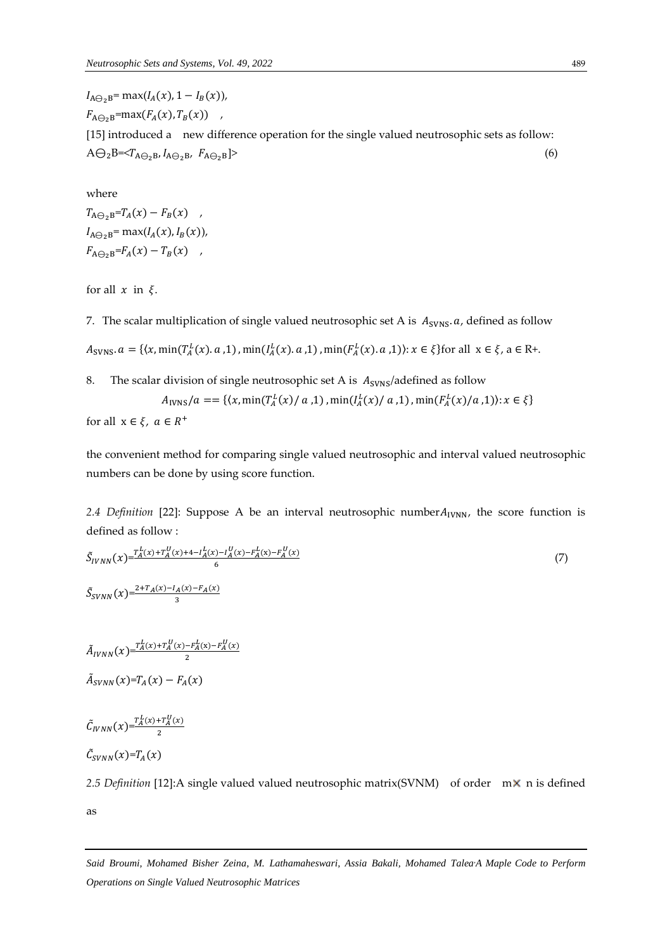$I_{A\ominus_2B}$ = max( $I_A(x)$ , 1 –  $I_B(x)$ ),  $F_{A\ominus_2B}$ =max $(F_A(x), T_B(x))$ , [15] introduced a new difference operation for the single valued neutrosophic sets as follow:  $A\bigoplus_{2}B=\langle T_{A\bigoplus_{2}B},I_{A\bigoplus_{2}B},F_{A\bigoplus_{2}B}\rangle$  (6)

where  $T_{A\ominus_2B}=T_A(x)-F_B(x)$ ,  $I_{A\ominus_2B}$ = max $(I_A(x), I_B(x))$ ,  $F_{A\ominus_2B} = F_A(x) - T_B(x)$ ,

for all  $x$  in  $\xi$ .

7. The scalar multiplication of single valued neutrosophic set A is  $A_{\text{SVNs}}$ . *a*, defined as follow

 $A_{\text{SVNS}}$ .  $a = \{ (x, \min(T_A^L(x), a, 1), \min(I_A^L(x), a, 1), \min(F_A^L(x), a, 1)) : x \in \xi \}$  for all  $x \in \xi$ ,  $a \in \mathbb{R}^+$ .

8. The scalar division of single neutrosophic set A is  $A_{\text{SVNS}}/$ adefined as follow  $A_{\text{IVNS}}/a = = \{ (x, \min(T_A^L(x)/a), 1), \min(I_A^L(x)/a), 1), \min(F_A^L(x)/a), 1) \} : x \in \xi \}$ 

$$
\text{for all } x \in \xi, \ a \in R^+
$$

the convenient method for comparing single valued neutrosophic and interval valued neutrosophic numbers can be done by using score function.

2.4 Definition [22]: Suppose A be an interval neutrosophic number $A_{IVNN}$ , the score function is defined as follow :

$$
\tilde{S}_{IVNN}(x) = \frac{r_A^L(x) + r_A^U(x) + 4 - l_A^L(x) - l_A^U(x) - F_A^L(x) - F_A^L(x)}{6}
$$
\n
$$
\tilde{S}_{SVNN}(x) = \frac{2 + T_A(x) - l_A(x) - F_A(x)}{3}
$$
\n(7)

 $\tilde{A}_{IVNN}(x) = \frac{T_A^L(x) + T_A^U(x) - F_A^L(x) - F_A^U(x)}{2}$ 2  $\tilde{A}_{SVNN}(x) = T_A(x) - F_A(x)$ 

3

 $\tilde{C}_{IVNN}(x) = \frac{T_A^L(x) + T_A^U(x)}{2}$ 2

 $\tilde{C}_{SVNN}(x)=T_A(x)$ 

2.5 *Definition* [12]:A single valued valued neutrosophic matrix(SVNM) of order m× n is defined as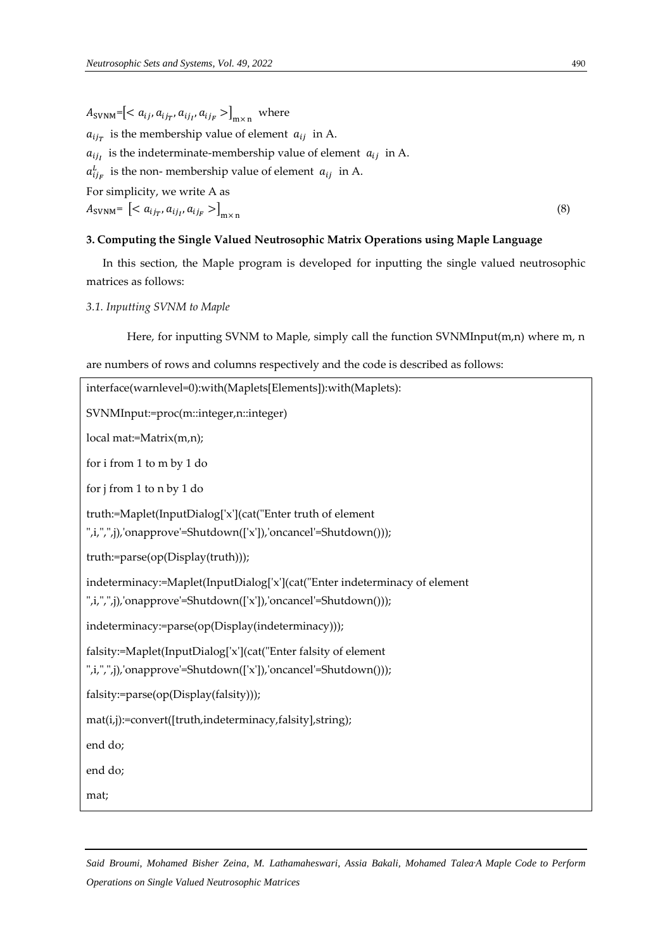$A_{\text{SVMM}}$ = $\left[,  $a_{ij}$ ,  $a_{ij}$ ,  $a_{ij}$   $>$   $\right]_{\text{mx n}}$  where$  $a_{ij}$  is the membership value of element  $a_{ij}$  in A.  $a_{ij}$  is the indeterminate-membership value of element  $a_{ij}$  in A.  $a_{ij_F}^L$  is the non-membership value of element  $a_{ij}$  in A. For simplicity, we write A as  $A_{\text{SVMM}} = \left[ \langle a_{ij_T}, a_{ij_I}, a_{ij_F} \rangle \right]_{\text{m} \times \text{n}}$ (8)

## **3. Computing the Single Valued Neutrosophic Matrix Operations using Maple Language**

In this section, the Maple program is developed for inputting the single valued neutrosophic matrices as follows:

# *3.1. Inputting SVNM to Maple*

Here, for inputting SVNM to Maple, simply call the function SVNMInput(m,n) where m, n

are numbers of rows and columns respectively and the code is described as follows:

| interface(warnlevel=0):with(Maplets[Elements]):with(Maplets):                                                                                 |
|-----------------------------------------------------------------------------------------------------------------------------------------------|
| SVNMInput:=proc(m::integer,n::integer)                                                                                                        |
| local mat:=Matrix(m,n);                                                                                                                       |
| for i from 1 to m by 1 do                                                                                                                     |
| for j from 1 to n by 1 do                                                                                                                     |
| truth:=Maplet(InputDialog['x'](cat("Enter truth of element<br>",i,",",j),'onapprove'=Shutdown(['x']),'oncancel'=Shutdown()));                 |
| truth:=parse(op(Display(truth)));                                                                                                             |
| indeterminacy:=Maplet(InputDialog['x'](cat("Enter indeterminacy of element<br>",i,",",j),'onapprove'=Shutdown(['x']),'oncancel'=Shutdown())); |
| indeterminacy:=parse(op(Display(indeterminacy)));                                                                                             |
| falsity:=Maplet(InputDialog['x'](cat("Enter falsity of element<br>",i,",",j),'onapprove'=Shutdown(['x']),'oncancel'=Shutdown()));             |
| falsity:=parse(op(Display(falsity)));                                                                                                         |
| mat(i,j):=convert([truth,indeterminacy,falsity],string);                                                                                      |
| end do;                                                                                                                                       |
| end do;                                                                                                                                       |
| mat;                                                                                                                                          |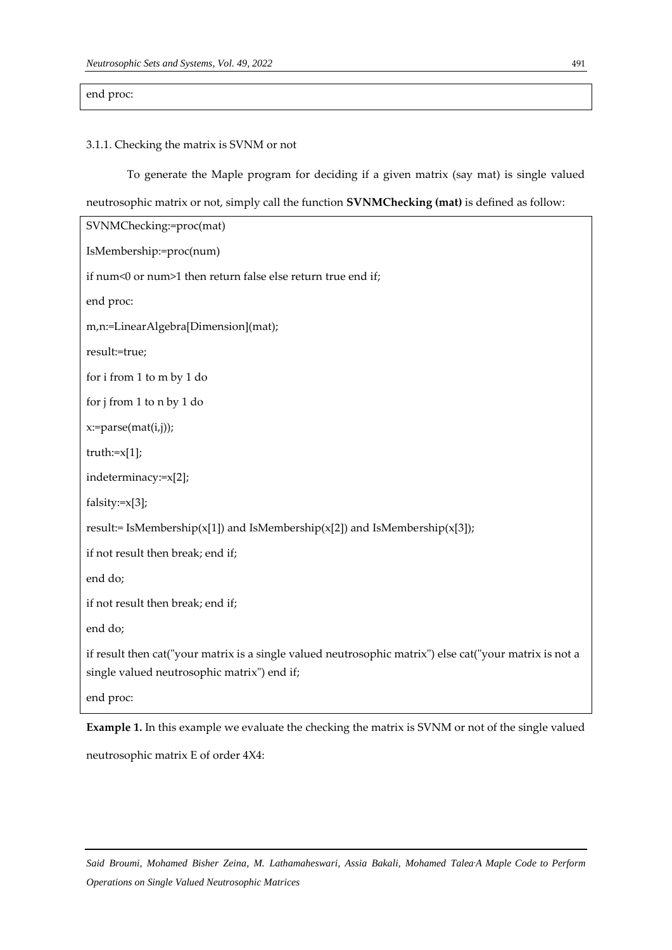# end proc:

#### 3.1.1. Checking the matrix is SVNM or not

To generate the Maple program for deciding if a given matrix (say mat) is single valued

neutrosophic matrix or not, simply call the function **SVNMChecking (mat)** is defined as follow:

| SVNMChecking:=proc(mat)                                                                                                                                |
|--------------------------------------------------------------------------------------------------------------------------------------------------------|
| IsMembership:=proc(num)                                                                                                                                |
| if num<0 or num>1 then return false else return true end if;                                                                                           |
| end proc:                                                                                                                                              |
| m,n:=LinearAlgebra[Dimension](mat);                                                                                                                    |
| result:=true;                                                                                                                                          |
| for i from 1 to m by 1 do                                                                                                                              |
| for j from 1 to n by 1 do                                                                                                                              |
| x:=parse(mat(i,j));                                                                                                                                    |
| $truth:=x[1];$                                                                                                                                         |
| indeterminacy:=x[2];                                                                                                                                   |
| falsity: $=x[3]$ ;                                                                                                                                     |
| result:= IsMembership(x[1]) and IsMembership(x[2]) and IsMembership(x[3]);                                                                             |
| if not result then break; end if;                                                                                                                      |
| end do;                                                                                                                                                |
| if not result then break; end if;                                                                                                                      |
| end do;                                                                                                                                                |
| if result then cat("your matrix is a single valued neutrosophic matrix") else cat("your matrix is not a<br>single valued neutrosophic matrix") end if; |
| end proc:                                                                                                                                              |

**Example 1.** In this example we evaluate the checking the matrix is SVNM or not of the single valued neutrosophic matrix E of order 4X4: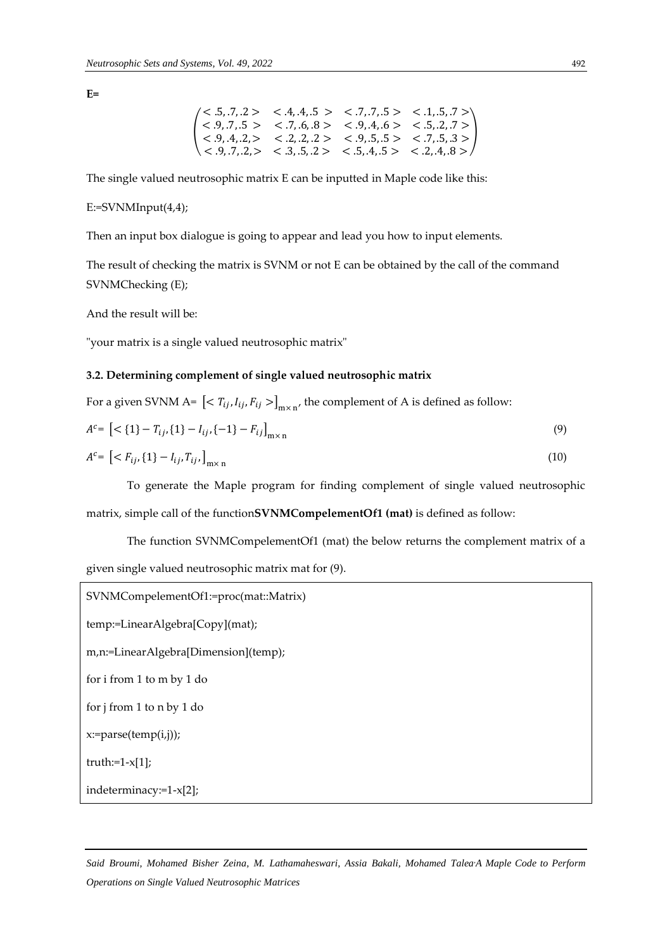**E=**

$$
\begin{pmatrix}\n<.5, .7, .2 > < .4, .4, .5 > < .7, .7, .5 > < .1, .5, .7 > \\
<.9, .7, .5 > < .7, .6, .8 > < .9, .4, .6 > < .5, .2, .7 > \\
<.9, .4, .2, > < .2, .2, .2 > < .9, .5, .5 > < .7, .5, .3 > \\
<.9, .7, .2, > < .3, .5, .2 > < .5, .4, .5 > < .2, .4, .8 > \n\end{pmatrix}
$$

The single valued neutrosophic matrix E can be inputted in Maple code like this:

 $E:=SVNMInput(4,4);$ 

Then an input box dialogue is going to appear and lead you how to input elements.

The result of checking the matrix is SVNM or not E can be obtained by the call of the command SVNMChecking (E);

And the result will be:

"your matrix is a single valued neutrosophic matrix"

#### **3.2. Determining complement of single valued neutrosophic matrix**

For a given SVNM A=  $\left[< T_{ij}, I_{ij}, F_{ij}>\right]_{m\times n'}$  the complement of A is defined as follow:

$$
A^{c} = \left[ \langle 1 \rangle - T_{ij}, \{ 1 \} - I_{ij}, \{ -1 \} - F_{ij} \right]_{m \times n} \tag{9}
$$

$$
A^{c} = \left[ \langle F_{ij}, \{1\} - I_{ij}, T_{ij}, \right]_{m \times n} \tag{10}
$$

To generate the Maple program for finding complement of single valued neutrosophic matrix, simple call of the function**SVNMCompelementOf1 (mat)** is defined as follow:

The function SVNMCompelementOf1 (mat) the below returns the complement matrix of a given single valued neutrosophic matrix mat for (9).

```
SVNMCompelementOf1:=proc(mat::Matrix)
temp:=LinearAlgebra[Copy](mat);
m,n:=LinearAlgebra[Dimension](temp);
for i from 1 to m by 1 do
for j from 1 to n by 1 do
x:=parse(temp(i,j));
truth:=1-x[1];indeterminacy:=1-x[2];
```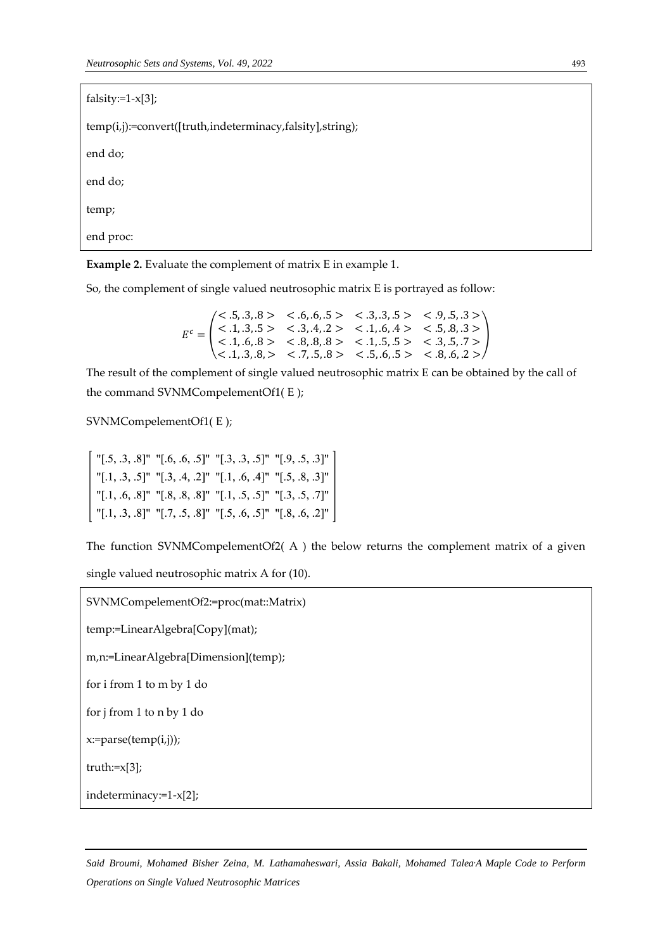falsity:=1-x[3];

temp(i,j):=convert([truth,indeterminacy,falsity],string);

end do;

end do;

temp;

end proc:

**Example 2.** Evaluate the complement of matrix E in example 1.

So, the complement of single valued neutrosophic matrix E is portrayed as follow:

 $E^c =$  $< .5, .3, .8 > < .6, .6, .5 > < .3, .3, .5 > < .9, .5, .3 >$  $< .1, .3, .5 > < .3, .4, .2 > < .1, .6, .4 > < .5, .8, .3 >$  $< .1, .6, .8 > < .8, .8, .8 > < .1, .5, .5 > < .3, .5, .7 >$  $< .1, .3, .8, >< .7, .5, .8> < .5, .6, .5> < .8, .6, .2>$ )

The result of the complement of single valued neutrosophic matrix E can be obtained by the call of the command SVNMCompelementOf1( E );

SVNMCompelementOf1( E );

| "[.5, .3, .8]" "[.6, .6, .5]" "[.3, .3, .5]" "[.9, .5, .3]" |  |
|-------------------------------------------------------------|--|
| "[.1, .3, .5]" "[.3, .4, .2]" "[.1, .6, .4]" "[.5, .8, .3]" |  |
| "[.1, .6, .8]" "[.8, .8, .8]" "[.1, .5, .5]" "[.3, .5, .7]" |  |
| "[.1, .3, .8]" "[.7, .5, .8]" "[.5, .6, .5]" "[.8, .6, .2]" |  |

The function SVNMCompelementOf2( $A$ ) the below returns the complement matrix of a given

single valued neutrosophic matrix A for (10).

```
SVNMCompelementOf2:=proc(mat::Matrix)
temp:=LinearAlgebra[Copy](mat);
m,n:=LinearAlgebra[Dimension](temp);
for i from 1 to m by 1 do
for j from 1 to n by 1 do
x:=parse(temp(i,j));
truth:=x[3];
indeterminacy:=1-x[2];
```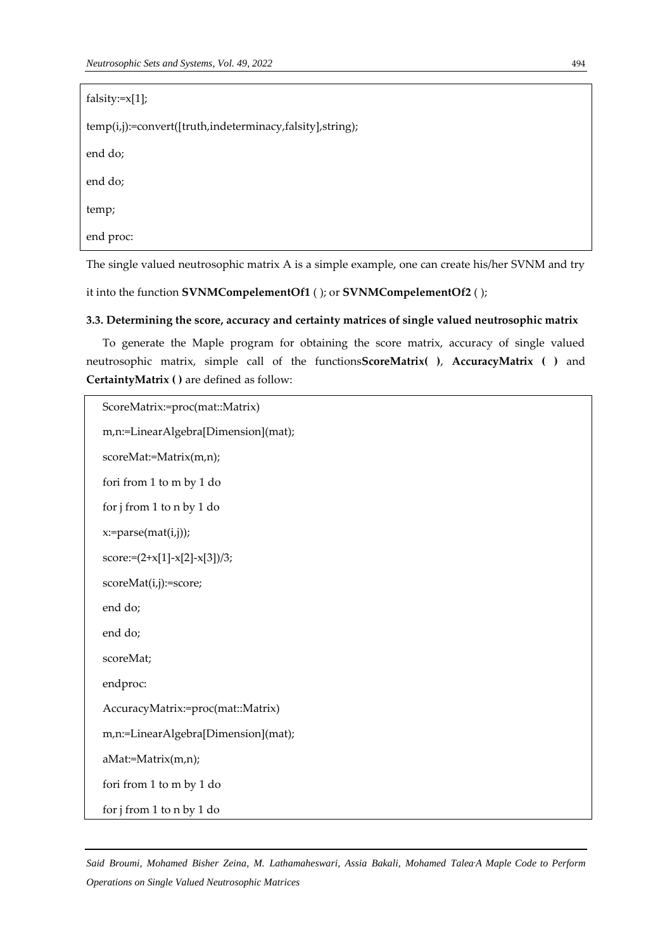| falsity: $=x[1]$ ;                                        |  |  |
|-----------------------------------------------------------|--|--|
| temp(i,j):=convert([truth,indeterminacy,falsity],string); |  |  |
| end do;                                                   |  |  |
| end do;                                                   |  |  |
| temp;                                                     |  |  |
| end proc:                                                 |  |  |

The single valued neutrosophic matrix A is a simple example, one can create his/her SVNM and try

it into the function **SVNMCompelementOf1** ( ); or **SVNMCompelementOf2** ( );

## **3.3. Determining the score, accuracy and certainty matrices of single valued neutrosophic matrix**

To generate the Maple program for obtaining the score matrix, accuracy of single valued neutrosophic matrix, simple call of the functions**ScoreMatrix( )**, **AccuracyMatrix ( )** and **CertaintyMatrix ( )** are defined as follow:

```
ScoreMatrix:=proc(mat::Matrix)
m,n:=LinearAlgebra[Dimension](mat);
scoreMat:=Matrix(m,n);
fori from 1 to m by 1 do
for j from 1 to n by 1 do
x:=parse(mat(i,j));
score:=(2+x[1]-x[2]-x[3])/3;
scoreMat(i,j):=score;
end do;
end do;
scoreMat;
endproc:
AccuracyMatrix:=proc(mat::Matrix)
m,n:=LinearAlgebra[Dimension](mat);
aMat:=Matrix(m,n);
fori from 1 to m by 1 do
for j from 1 to n by 1 do
```
*Said Broumi, Mohamed Bisher Zeina, M. Lathamaheswari, Assia Bakali, Mohamed Talea,A Maple Code to Perform Operations on Single Valued Neutrosophic Matrices*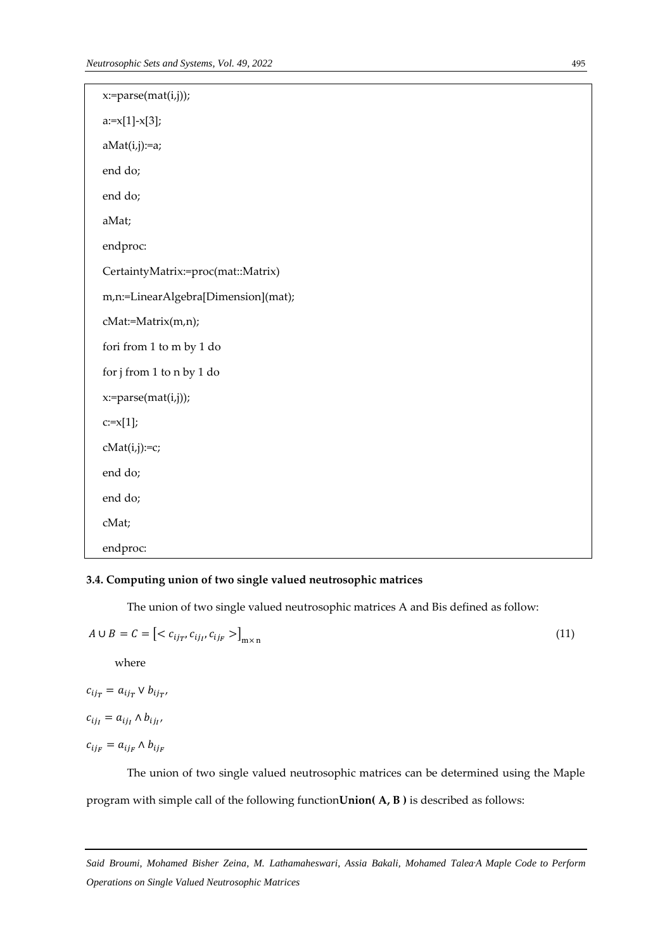| x:=parse(mat(i,j));                    |
|----------------------------------------|
| $a:=x[1]-x[3];$                        |
| $aMat(i,j):=a;$                        |
| end do;                                |
| end do;                                |
| aMat;                                  |
| endproc:                               |
| CertaintyMatrix:=proc(mat::Matrix)     |
| m,n:=LinearAlgebra[Dimension](mat);    |
| cMat:=Matrix(m,n);                     |
| fori from $1$ to $\mathbf m$ by $1$ do |
| for j from 1 to n by 1 do              |
| x:=parse(mat(i,j));                    |
| $c:=x[1];$                             |
| $cMat(i,j):=c;$                        |
| end do;                                |
| end do;                                |
| cMat;                                  |
| endproc:                               |

# **3.4. Computing union of two single valued neutrosophic matrices**

The union of two single valued neutrosophic matrices A and Bis defined as follow:

$$
A \cup B = C = \left[ \langle c_{ij_T}, c_{ij_{\Gamma}}, c_{ij_F} \rangle \right]_{m \times n} \tag{11}
$$

where

$$
c_{ij_T} = a_{ij_T} \vee b_{ij_T}
$$

,

,

$$
c_{ij_I} = a_{ij_I} \wedge b_{ij_I}
$$

 $c_{ij_F} = a_{ij_F} \wedge b_{ij_F}$ 

The union of two single valued neutrosophic matrices can be determined using the Maple program with simple call of the following function**Union( A, B )** is described as follows: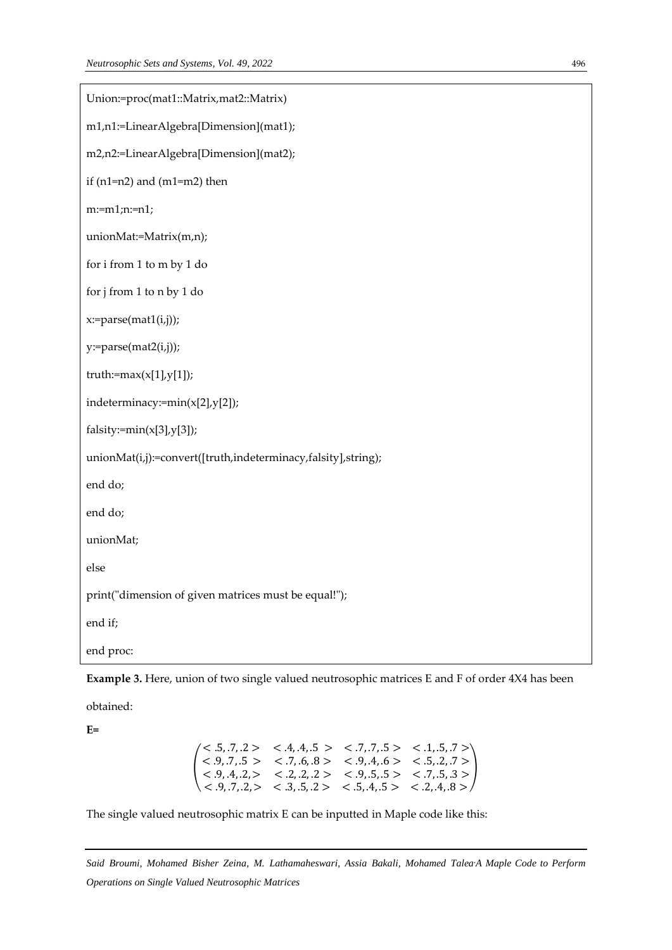| Union:=proc(mat1::Matrix,mat2::Matrix)                        |
|---------------------------------------------------------------|
| m1,n1:=LinearAlgebra[Dimension](mat1);                        |
| m2,n2:=LinearAlgebra[Dimension](mat2);                        |
| if $(n1=n2)$ and $(m1=m2)$ then                               |
| $m:=m1; n:=n1;$                                               |
| unionMat:=Matrix(m,n);                                        |
| for i from 1 to m by 1 do                                     |
| for j from 1 to n by 1 do                                     |
| x:=parse(mat1(i,j));                                          |
| y:=parse(mat2(i,j));                                          |
| truth:= $max(x[1], y[1])$ ;                                   |
| indeterminacy:=min(x[2],y[2]);                                |
| $falsity:=min(x[3],y[3])$ ;                                   |
| unionMat(i,j):=convert([truth,indeterminacy,falsity],string); |
| end do;                                                       |
| end do;                                                       |
| unionMat;                                                     |
| else                                                          |
| print("dimension of given matrices must be equal!");          |
| end if;                                                       |
| end proc:                                                     |

**Example 3.** Here, union of two single valued neutrosophic matrices E and F of order 4X4 has been

obtained:

**E=**

```
(
  < .5, .7, .2 > .4, .4, .5 > .7, .7, .5 > .1, .5, .7 >< .9, .7, .5 > .7, .6, .8 > .9, .4, .6 > .5, .2, .7 >< .9, .4, .2, > < .2, .2, .2 > < .9, .5, .5 > < .7, .5, .3 >< .9, .7, .2, >< .3, .5, .2> < .5, .4, .5> < .2, .4, .8>)
```
The single valued neutrosophic matrix E can be inputted in Maple code like this:

*Said Broumi, Mohamed Bisher Zeina, M. Lathamaheswari, Assia Bakali, Mohamed Talea,A Maple Code to Perform Operations on Single Valued Neutrosophic Matrices*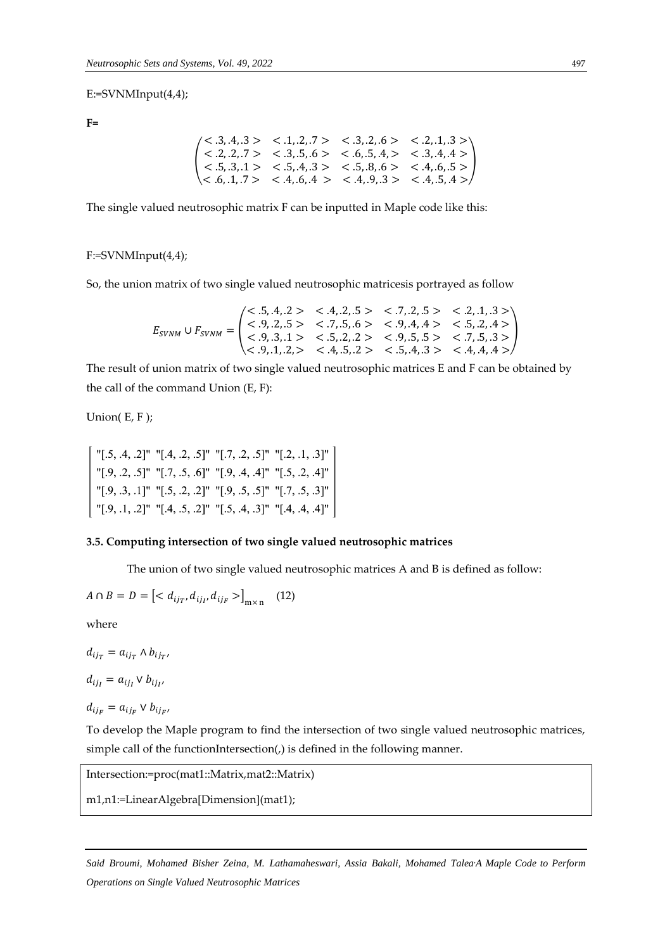#### E:=SVNMInput(4,4);

**F=**

$$
\begin{pmatrix}\n<.3, 4, 3 > < .1, .2, .7 > < .3, .2, .6 > < .2, .1, .3 > \\
<.2, .2, .7 > < .3, .5, .6 > < .6, .5, .4, > < .3, .4, .4 > \\
<.5, .3, .1 > < .5, .4, .3 > < .5, .8, .6 > < .4, .6, .5 > \\
<.6, .1, .7 > < .4, .6, .4 > < .4, .9, .3 > < .4, .5, .4 >\n\end{pmatrix}
$$

The single valued neutrosophic matrix F can be inputted in Maple code like this:

#### F:=SVNMInput(4,4);

So, the union matrix of two single valued neutrosophic matricesis portrayed as follow

$$
E_{SVMM} \cup F_{SVMM} = \begin{pmatrix} < .5, .4, .2 > < .4, .2, .5 > < .7, .2, .5 > < .2, .1, .3 > \\ < .9, .2, .5 > < .7, .5, .6 > < .9, .4, .4 > < .5, .2, .4 > \\ < .9, .3, .1 > < .5, .2, .2 > < .9, .5, .5 > < .7, .5, .3 > \\ < .9, .1, .2, > < .4, .5, .2 > < .5, .4, .3 > < .4, .4, .4 > \end{pmatrix}
$$

The result of union matrix of two single valued neutrosophic matrices E and F can be obtained by the call of the command Union (E, F):

Union( E, F );

| "[.5, .4, .2]" "[.4, .2, .5]" "[.7, .2, .5]" "[.2, .1, .3]" |  |
|-------------------------------------------------------------|--|
| "[.9, .2, .5]" "[.7, .5, .6]" "[.9, .4, .4]" "[.5, .2, .4]" |  |
| "[.9, .3, .1]" "[.5, .2, .2]" "[.9, .5, .5]" "[.7, .5, .3]" |  |
| "[.9, .1, .2]" "[.4, .5, .2]" "[.5, .4, .3]" "[.4, .4, .4]" |  |

#### **3.5. Computing intersection of two single valued neutrosophic matrices**

The union of two single valued neutrosophic matrices A and B is defined as follow:

$$
A \cap B = D = \left[ < d_{ij} \, d_{ij} \, d_{ij} \, d_{ij} \, \right]_{m \times n} \tag{12}
$$

where

 $d_{ij_T} = a_{ij_T} \wedge b_{ij_{T'}}$  $d_{ij_I} = a_{ij_I} \vee b_{ij_{I'}}$ 

$$
d_{ij_F} = a_{ij_F} \vee b_{ij_{F'}}
$$

To develop the Maple program to find the intersection of two single valued neutrosophic matrices, simple call of the functionIntersection(,) is defined in the following manner.

Intersection:=proc(mat1::Matrix,mat2::Matrix)

m1,n1:=LinearAlgebra[Dimension](mat1);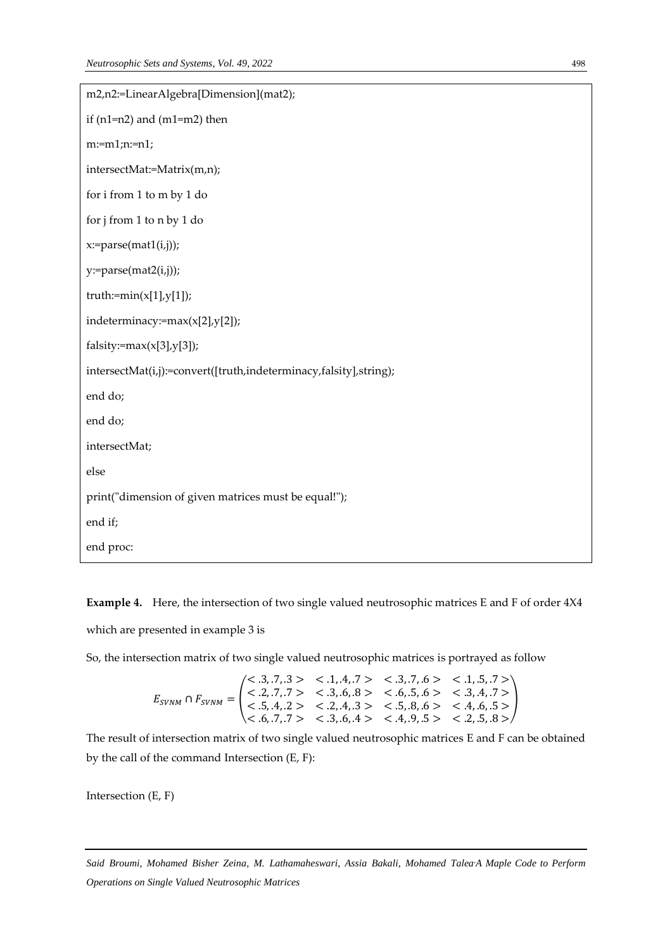| m2,n2:=LinearAlgebra[Dimension](mat2);                            |
|-------------------------------------------------------------------|
| if $(n1=n2)$ and $(m1=m2)$ then                                   |
| $m:=m1; n:=n1;$                                                   |
| intersectMat:=Matrix(m,n);                                        |
| for i from 1 to m by 1 do                                         |
| for j from 1 to n by 1 do                                         |
| x:=parse(mat1(i,j));                                              |
| $y:=parse(mat2(i,j));$                                            |
| truth:= $min(x[1], y[1])$ ;                                       |
| indeterminacy:=max(x[2],y[2]);                                    |
| $falsity:=max(x[3],y[3])$ ;                                       |
| intersectMat(i,j):=convert([truth,indeterminacy,falsity],string); |
| end do;                                                           |
| end do;                                                           |
| intersectMat;                                                     |
| else                                                              |
| print("dimension of given matrices must be equal!");              |
| end if;                                                           |
| end proc:                                                         |

**Example 4.** Here, the intersection of two single valued neutrosophic matrices E and F of order 4X4 which are presented in example 3 is

So, the intersection matrix of two single valued neutrosophic matrices is portrayed as follow

$$
E_{SVMM} \cap F_{SVMM} = \begin{pmatrix} < .3, .7, .3 > < .1, .4, .7 > < .3, .7, .6 > < .1, .5, .7 > \\ < .2, .7, .7 > < .3, .6, .8 > < .6, .5, .6 > < .3, .4, .7 > \\ < .5, .4, .2 > < .2, .4, .3 > < .5, .8, .6 > < .4, .6, .5 > \\ < .6, .7, .7 > < .3, .6, .4 > < .4, .9, .5 > < .2, .5, .8 > \end{pmatrix}
$$

The result of intersection matrix of two single valued neutrosophic matrices E and F can be obtained by the call of the command Intersection (E, F):

Intersection (E, F)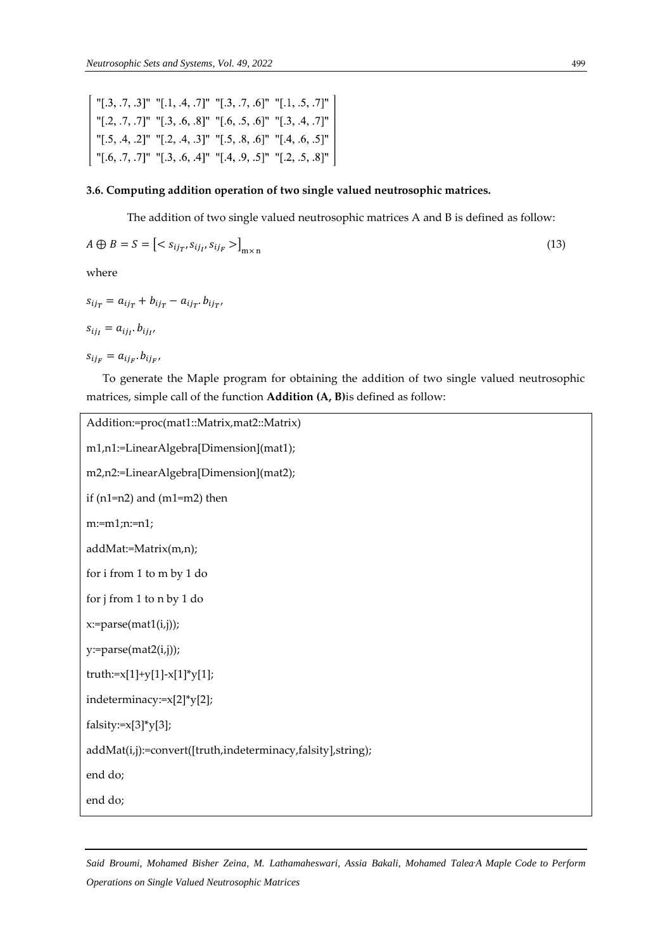"[.3, .7, .3]" "[.1, .4, .7]" "[.3, .7, .6]" "[.1, .5, .7]" "[.2, .7, .7]" "[.3, .6, .8]" "[.6, .5, .6]" "[.3, .4, .7]" "[.5, .4, .2]" "[.2, .4, .3]" "[.5, .8, .6]" "[.4, .6, .5]"<br>"[.6, .7, .7]" "[.3, .6, .4]" "[.4, .9, .5]" "[.2, .5, .8]"

## **3.6. Computing addition operation of two single valued neutrosophic matrices.**

The addition of two single valued neutrosophic matrices A and B is defined as follow:

$$
A \oplus B = S = \left[ \langle s_{ij_T}, s_{ij_{\scriptscriptstyle I}}, s_{ij_F} \rangle \right]_{m \times n} \tag{13}
$$

where

$$
s_{ij_T} = a_{ij_T} + b_{ij_T} - a_{ij_T} \cdot b_{ij_{T}},
$$
  

$$
s_{ij_I} = a_{ij_I} \cdot b_{ij_{I'}}
$$

 $s_{ij_F} = a_{ij_F}.b_{ij_F}$ 

To generate the Maple program for obtaining the addition of two single valued neutrosophic matrices, simple call of the function **Addition (A, B)**is defined as follow:

```
Addition:=proc(mat1::Matrix,mat2::Matrix)
m1,n1:=LinearAlgebra[Dimension](mat1);
m2,n2:=LinearAlgebra[Dimension](mat2);
if (n1=n2) and (m1=m2) then
m:=m1;n:=n1;
addMat:=Matrix(m,n);
for i from 1 to m by 1 do
for j from 1 to n by 1 do
x:=parse(mat1(i,j));
y:=parse(mat2(i,j));
truth:=x[1]+y[1]-x[1]*y[1];
indeterminacy:=x[2]*y[2];
falsity:=x[3]*y[3];
addMat(i,j):=convert([truth,indeterminacy,falsity],string);
end do;
end do;
```
*Said Broumi, Mohamed Bisher Zeina, M. Lathamaheswari, Assia Bakali, Mohamed Talea,A Maple Code to Perform Operations on Single Valued Neutrosophic Matrices*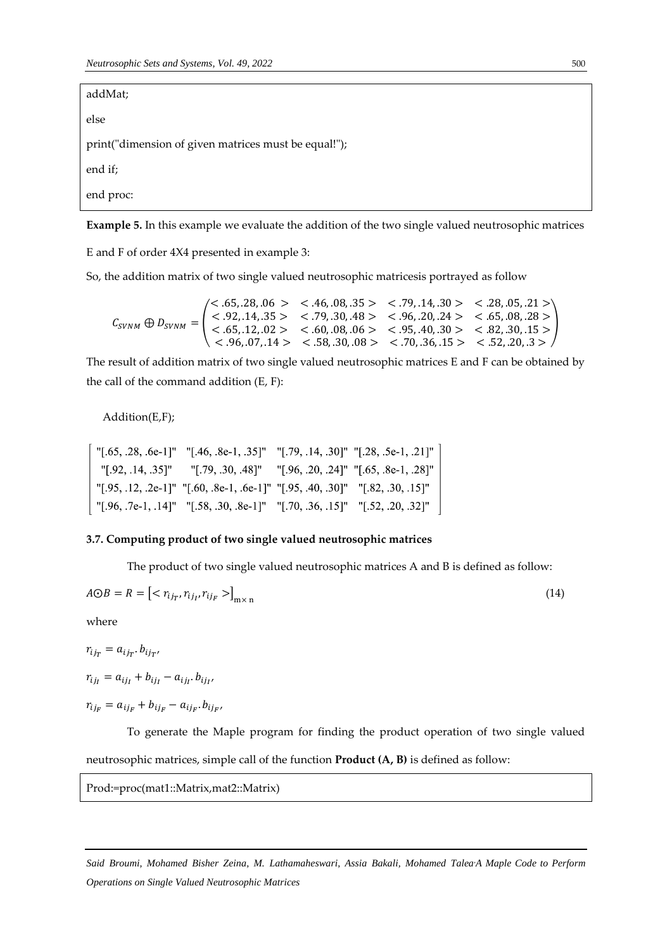addMat;

else

print("dimension of given matrices must be equal!");

end if;

end proc:

**Example 5.** In this example we evaluate the addition of the two single valued neutrosophic matrices

E and F of order 4X4 presented in example 3:

So, the addition matrix of two single valued neutrosophic matricesis portrayed as follow

$$
C_{SVNM} \oplus D_{SVNM} = \begin{pmatrix} <.65, .28, .06 > & <.46, .08, .35 > & <.79, .14, .30 > & <.28, .05, .21 > \\ <.92, .14, .35 > & <.79, .30, .48 > & <.96, .20, .24 > & <.65, .08, .28 > \\ <.65, .12, .02 > & <.60, .08, .06 > & <.95, .40, .30 > & <.82, .30, .15 > \\ <.96, .07, .14 > & <.58, .30, .08 > & <.70, .36, .15 > & <.52, .20, .3 > \end{pmatrix}
$$

The result of addition matrix of two single valued neutrosophic matrices E and F can be obtained by the call of the command addition (E, F):

Addition(E,F);

| "[.65, .28, .6e-1]" "[.46, .8e-1, .35]" "[.79, .14, .30]" "[.28, .5e-1, .21]" |  |
|-------------------------------------------------------------------------------|--|
| " .92, .14, .35 "   " .79, .30, .48 "   " .96, .20, .24 "   .65, .8e-1, .28 " |  |
| "[.95, .12, .2e-1]" "[.60, .8e-1, .6e-1]" "[.95, .40, .30]" "[.82, .30, .15]" |  |
| "[.96, .7e-1, .14]" "[.58, .30, .8e-1]" "[.70, .36, .15]" "[.52, .20, .32]"   |  |

#### **3.7. Computing product of two single valued neutrosophic matrices**

The product of two single valued neutrosophic matrices A and B is defined as follow:

$$
A \odot B = R = \left[ \langle \, r_{ij} \, r_{ij} \, r_{ij} \, \rangle \, \right]_{\text{m} \times \text{n}} \tag{14}
$$

where

 $r_{ij_T} = a_{ij_T} b_{ij_T}$  $r_{ij_I} = a_{ij_I} + b_{ij_I} - a_{ij_I} b_{ij_{I'}}$ 

 $r_{ij_F} = a_{ij_F} + b_{ij_F} - a_{ij_F} \cdot b_{ij_{F'}}$ 

To generate the Maple program for finding the product operation of two single valued neutrosophic matrices, simple call of the function **Product (A, B)** is defined as follow:

#### Prod:=proc(mat1::Matrix,mat2::Matrix)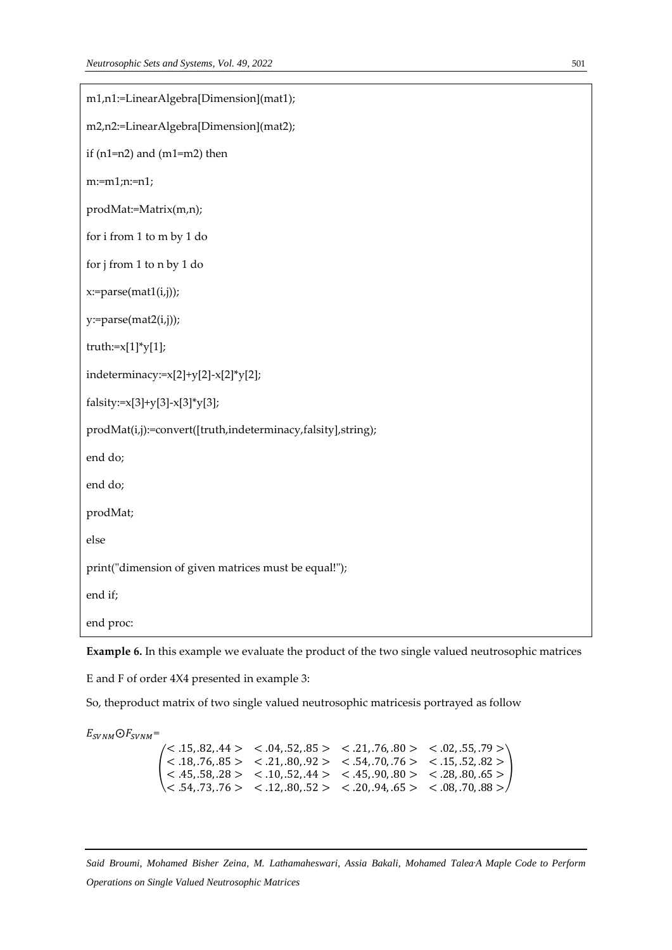```
m1,n1:=LinearAlgebra[Dimension](mat1);
m2,n2:=LinearAlgebra[Dimension](mat2);
if (n1=n2) and (m1=m2) then
m:=m1;n:=n1;
prodMat:=Matrix(m,n);
for i from 1 to m by 1 do
for j from 1 to n by 1 do
x:=parse(mat1(i,j));y:=parse(mat2(i,j));
truth:=x[1]^*y[1];
indeterminacy:=x[2]+y[2]-x[2]*y[2];
falsity:=x[3]+y[3]-x[3]*y[3];
prodMat(i,j):=convert([truth,indeterminacy,falsity],string);
end do;
end do;
prodMat;
else
print("dimension of given matrices must be equal!");
end if;
end proc:
```
**Example 6.** In this example we evaluate the product of the two single valued neutrosophic matrices

E and F of order 4X4 presented in example 3:

So, theproduct matrix of two single valued neutrosophic matricesis portrayed as follow

 $E_{SUNM}$ O $F_{SUNM}$ =

(  $<$  .15, .82, .44 >  $<$  .04, .52, .85 >  $<$  .21, .76, .80 >  $<$  .02, .55, .79 >  $< .18, .76, .85 > 321, .80, .92 > 354, .70, .76 > 315, .52, .82 >$  $<$  .45, .58, .28 >  $<$  .10, .52, .44 >  $<$  .45, .90, .80 >  $<$  .28, .80, .65 >  $< .54, .73, .76 > .12, .80, .52 > .20, .94, .65 > .08, .70, .88 >$ )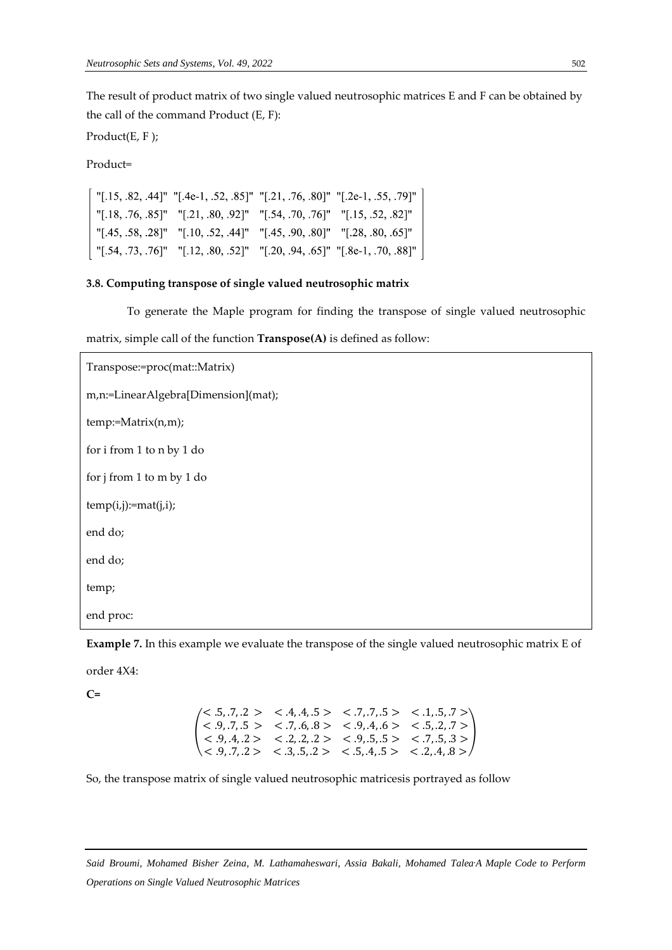The result of product matrix of two single valued neutrosophic matrices E and F can be obtained by the call of the command Product (E, F):

Product(E, F );

Product=

"[.15, .82, .44]" "[.4e-1, .52, .85]" "[.21, .76, .80]" "[.2e-1, .55, .79]" "[.18, .76, .85]" "[.21, .80, .92]" "[.54, .70, .76]" "[.15, .52, .82]" "[.45, .58, .28]" "[.10, .52, .44]" "[.45, .90, .80]" "[.28, .80, .65]" "[.54, .73, .76]" "[.12, .80, .52]" "[.20, .94, .65]" "[.8e-1, .70, .88]"

#### **3.8. Computing transpose of single valued neutrosophic matrix**

To generate the Maple program for finding the transpose of single valued neutrosophic

matrix, simple call of the function **Transpose(A)** is defined as follow:

```
Transpose:=proc(mat::Matrix)
m,n:=LinearAlgebra[Dimension](mat);
temp:=Matrix(n,m);
for i from 1 to n by 1 do
for j from 1 to m by 1 do
temp(i,j):=mat(j,i);end do;
end do;
temp;
end proc:
```


order 4X4:

**C=**

|  |  | $\langle 5, .7, .2 \rangle$ < .4, .4, .5 > < .7, .7, .5 > < .1, .5, .7 >                                                        |
|--|--|---------------------------------------------------------------------------------------------------------------------------------|
|  |  | $\vert < .9, .7, .5>$ $< .7, .6, .8>$ $< .9, .4, .6>$ $< .5, .2, .7>$                                                           |
|  |  | $\vert \langle 0.9, 4, 2 \rangle \langle 0.2, 2, 2 \rangle \langle 0.5, 5 \rangle \langle 0.7, 5, 3 \rangle$                    |
|  |  | $\langle 0.9, 0.7, 0.2 \rangle$ $\langle 0.3, 0.5, 0.2 \rangle$ $\langle 0.5, 0.4, 0.5 \rangle$ $\langle 0.2, 0.4, 0.8 \rangle$ |

So, the transpose matrix of single valued neutrosophic matricesis portrayed as follow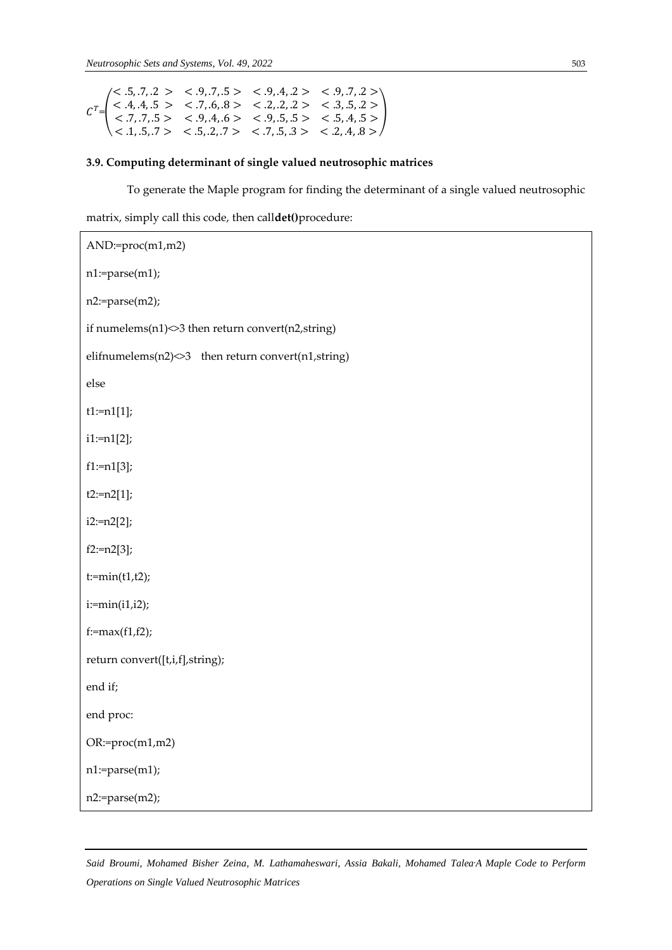$\mathsf{L}$ 

$$
CT=\begin{pmatrix} <.5,.7,.2> & <.9,.7,.5> & <.9,.4,.2> & <.9,.7,.2> \\ <.4,.4,.5> & <.7,.6.8> & <.2,.2,.2> & <.3,.5,.2> \\ <.7,.7,.5> & <.9,.4,.6> & <.9,.5.5> & <.5,.4,.5> \\ <.1,.5,.7> & <.5,.2,.7> & <.7,.5,.3> & <.2,.4,.8> \end{pmatrix}
$$

# **3.9. Computing determinant of single valued neutrosophic matrices**

To generate the Maple program for finding the determinant of a single valued neutrosophic

matrix, simply call this code, then call**det()**procedure:

| AND:=proc(m1,m2)                                               |  |  |
|----------------------------------------------------------------|--|--|
| n1:=parse(m1);                                                 |  |  |
| n2:=parse(m2);                                                 |  |  |
| if numelems $(n1)$ $\leq$ 3 then return convert $(n2,$ string) |  |  |
| elifnumelems(n2)<>3 then return convert(n1,string)             |  |  |
| else                                                           |  |  |
| $t1:=n1[1];$                                                   |  |  |
| $i1:=n1[2];$                                                   |  |  |
| $f1:=n1[3]$ ;                                                  |  |  |
| $t2:=n2[1];$                                                   |  |  |
| $i2:=n2[2];$                                                   |  |  |
| $f2:=n2[3];$                                                   |  |  |
| $t:=min(t1,t2);$                                               |  |  |
| $i:=min(i1,i2);$                                               |  |  |
| $f:=max(f1,f2);$                                               |  |  |
| return convert([t,i,f],string);                                |  |  |
| end if;                                                        |  |  |
| end proc:                                                      |  |  |
| $OR:=\text{proc}(m1,m2)$                                       |  |  |
| n1:=parse(m1);                                                 |  |  |
| n2:=parse(m2);                                                 |  |  |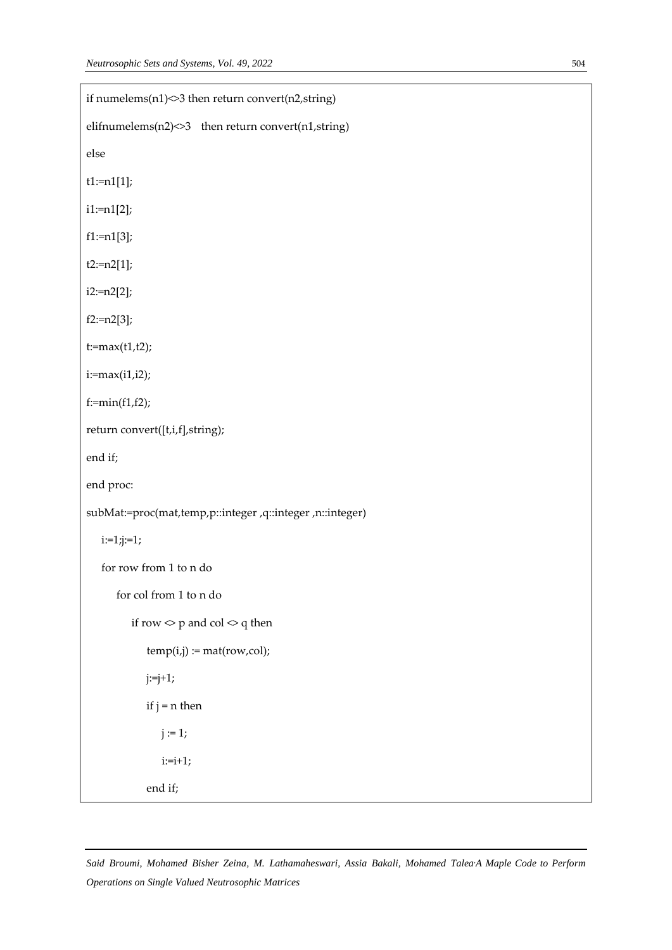| if numelems $(n1)$ $\leq$ 3 then return convert $(n2,$ string) |  |
|----------------------------------------------------------------|--|
| elifnumelems $(n2)$ then return convert $(n1,$ string)         |  |
| else                                                           |  |
| $t1:=n1[1];$                                                   |  |
| $i1:=n1[2]$ ;                                                  |  |
| $f1:=n1[3]$ ;                                                  |  |
| $t2:=n2[1];$                                                   |  |
| $i2:=n2[2]$ ;                                                  |  |
| $f2:=n2[3];$                                                   |  |
| $t:=max(t1,t2);$                                               |  |
| $i:=max(i1,i2);$                                               |  |
| $f:=min(f1,f2);$                                               |  |
| return convert([t,i,f],string);                                |  |
| end if;                                                        |  |
| end proc:                                                      |  |
| subMat:=proc(mat,temp,p::integer,q::integer,n::integer)        |  |
| $i:=1; j:=1;$                                                  |  |
| for row from 1 to n do                                         |  |
| for col from 1 to n do                                         |  |
| if row $\Diamond$ p and col $\Diamond$ q then                  |  |
| $temp(i,j) := mat(row,col);$                                   |  |
| $j:=j+1;$                                                      |  |
| if $j = n$ then                                                |  |
|                                                                |  |
| $j := 1;$                                                      |  |
| $i:=i+1;$                                                      |  |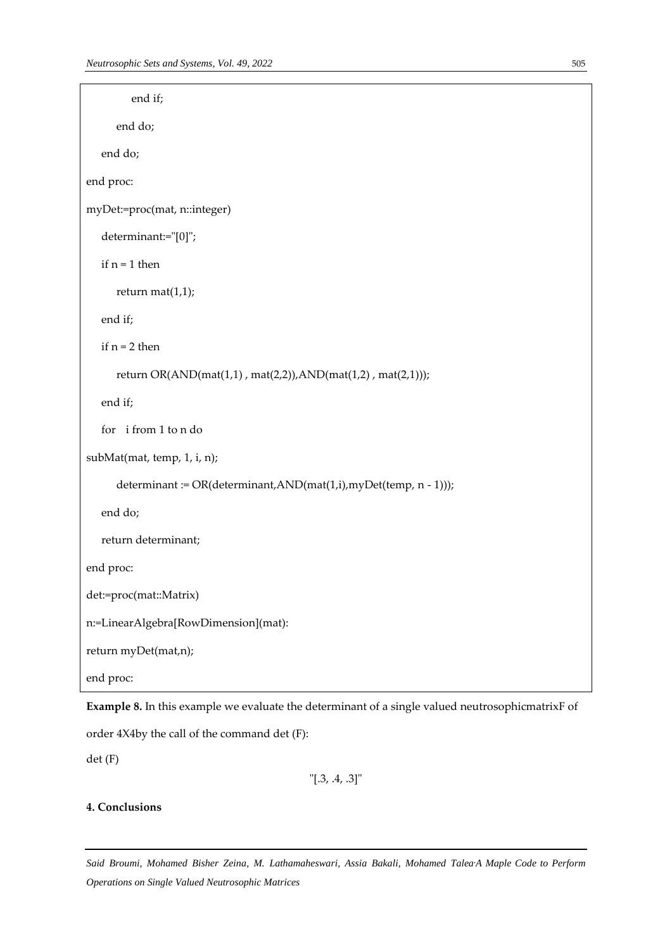```
 end if;
       end do;
    end do;
end proc:
myDet:=proc(mat, n::integer) 
    determinant:="[0]";
   if n = 1 then
       return mat(1,1);
    end if;
   if n = 2 then
       return OR(AND(mat(1,1) , mat(2,2)),AND(mat(1,2) , mat(2,1)));
    end if;
    for i from 1 to n do
subMat(mat, temp, 1, i, n);
       determinant := OR(determinant,AND(mat(1,i),myDet(temp, n - 1)));
    end do;
    return determinant;
end proc:
det:=proc(mat::Matrix)
n:=LinearAlgebra[RowDimension](mat):
return myDet(mat,n);
end proc:
```
**Example 8.** In this example we evaluate the determinant of a single valued neutrosophicmatrixF of

order 4X4by the call of the command det (F):

det (F)

"[.3, .4, .3]"

# **4. Conclusions**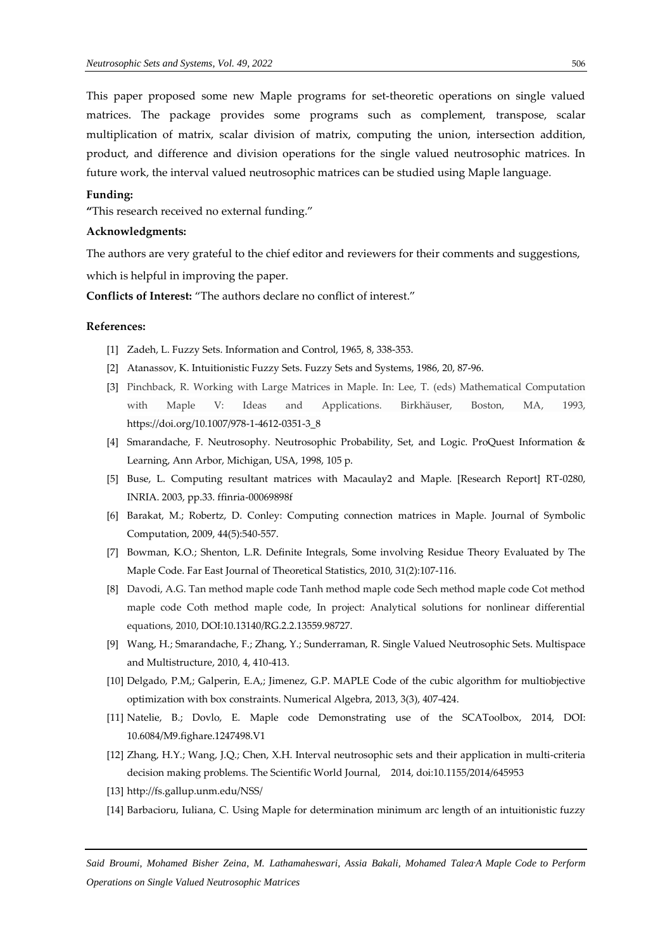This paper proposed some new Maple programs for set-theoretic operations on single valued matrices. The package provides some programs such as complement, transpose, scalar multiplication of matrix, scalar division of matrix, computing the union, intersection addition, product, and difference and division operations for the single valued neutrosophic matrices. In future work, the interval valued neutrosophic matrices can be studied using Maple language.

#### **Funding:**

**"**This research received no external funding."

#### **Acknowledgments:**

The authors are very grateful to the chief editor and reviewers for their comments and suggestions,

which is helpful in improving the paper.

**Conflicts of Interest:** "The authors declare no conflict of interest."

### **References:**

- [1] Zadeh, L. Fuzzy Sets. Information and Control, 1965, 8, 338-353.
- [2] Atanassov, K. Intuitionistic Fuzzy Sets. Fuzzy Sets and Systems, 1986, 20, 87-96.
- [3] Pinchback, R. Working with Large Matrices in Maple. In: Lee, T. (eds) Mathematical Computation with Maple V: Ideas and Applications. Birkhäuser, Boston, MA, 1993, [https://doi.org/10.1007/978-1-4612-0351-3\\_8](https://doi.org/10.1007/978-1-4612-0351-3_8)
- [4] Smarandache, F. Neutrosophy. Neutrosophic Probability, Set, and Logic. ProQuest Information & Learning, Ann Arbor, Michigan, USA, 1998, 105 p.
- [5] Buse, L. Computing resultant matrices with Macaulay2 and Maple. [Research Report] RT-0280, INRIA. 2003, pp.33. ffinria-00069898f
- [6] Barakat, M.; Robertz, D. Conley: Computing connection matrices in Maple. Journal of Symbolic Computation, 2009, 44(5):540-557.
- [7] Bowman, K.O.; Shenton, L.R. Definite Integrals, Some involving Residue Theory Evaluated by The Maple Code. Far East Journal of Theoretical Statistics, 2010, 31(2):107-116.
- [8] Davodi, A.G. Tan method maple code Tanh method maple code Sech method maple code Cot method maple code Coth method maple code, In project: Analytical solutions for nonlinear differential equations, 2010, DOI:10.13140/RG.2.2.13559.98727.
- [9] Wang, H.; Smarandache, F.; Zhang, Y.; Sunderraman, R. Single Valued Neutrosophic Sets. Multispace and Multistructure, 2010, 4, 410-413.
- [10] Delgado, P.M,; Galperin, E.A,; Jimenez, G.P. MAPLE Code of the cubic algorithm for multiobjective optimization with box constraints. Numerical Algebra, 2013, 3(3), 407-424.
- [11] Natelie, B.; Dovlo, E. Maple code Demonstrating use of the SCAToolbox, 2014, DOI: 10.6084/M9.fighare.1247498.V1
- [12] Zhang, H.Y.; Wang, J.Q.; Chen, X.H. Interval neutrosophic sets and their application in multi-criteria decision making problems. The Scientific World Journal, 2014, doi:10.1155/2014/645953
- [13] <http://fs.gallup.unm.edu/NSS/>
- [14] Barbacioru, Iuliana, C. Using Maple for determination minimum arc length of an intuitionistic fuzzy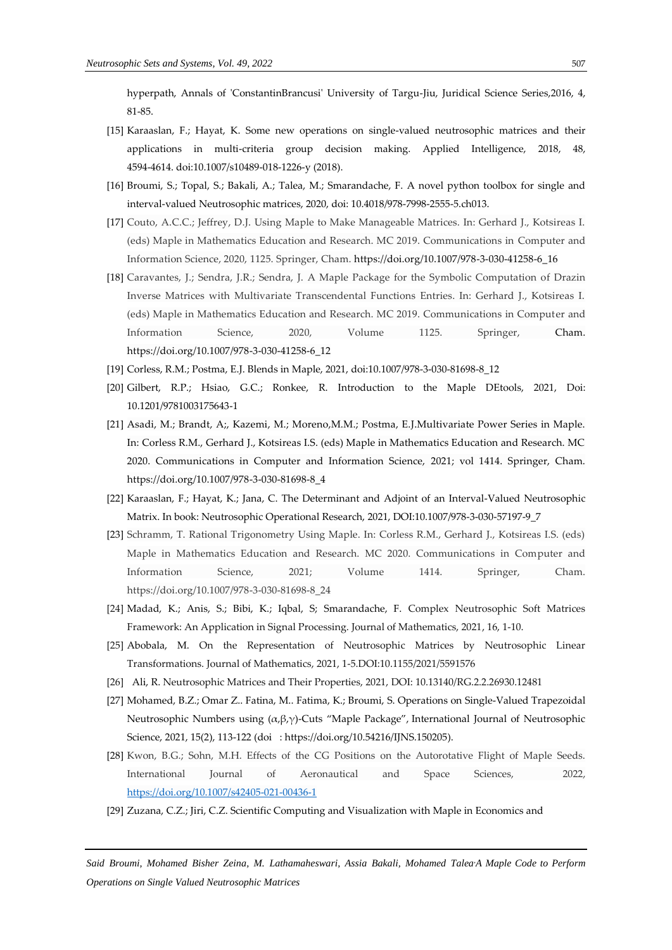hyperpath, Annals of 'ConstantinBrancusi' University of Targu-Jiu, Juridical Science Series,2016, 4, 81-85.

- [15] Karaaslan, F.; Hayat, K. Some new operations on single-valued neutrosophic matrices and their applications in multi-criteria group decision making. Applied Intelligence, 2018, 48, 4594-4614. doi:10.1007/s10489-018-1226-y (2018).
- [16] Broumi, S.; Topal, S.; Bakali, A.; Talea, M.; Smarandache, F. A novel python toolbox for single and interval-valued Neutrosophic matrices, 2020, doi: 10.4018/978-7998-2555-5.ch013.
- [17] Couto, A.C.C.; Jeffrey, D.J. Using Maple to Make Manageable Matrices. In: Gerhard J., Kotsireas I. (eds) Maple in Mathematics Education and Research. MC 2019. Communications in Computer and Information Science, 2020, 1125. Springer, Cham. [https://doi.org/10.1007/978-3-030-41258-6\\_16](https://doi.org/10.1007/978-3-030-41258-6_16)
- [18] Caravantes, J.; Sendra, J.R.; Sendra, J. A Maple Package for the Symbolic Computation of Drazin Inverse Matrices with Multivariate Transcendental Functions Entries. In: Gerhard J., Kotsireas I. (eds) Maple in Mathematics Education and Research. MC 2019. Communications in Computer and Information Science, 2020, Volume 1125. Springer, Cham. [https://doi.org/10.1007/978-3-030-41258-6\\_12](https://doi.org/10.1007/978-3-030-41258-6_12)
- [19] Corless, R.M.; Postma, E.J. Blends in Maple, 2021, do[i:10.1007/978-3-030-81698-8\\_12](http://dx.doi.org/10.1007/978-3-030-81698-8_12)
- [20] Gilbert, R.P.; Hsiao, G.C.; Ronkee, R. Introduction to the Maple DEtools, 2021, Doi: [10.1201/9781003175643-1](http://dx.doi.org/10.1201/9781003175643-1)
- [21] Asadi, M.; Brandt, A;, Kazemi, M.; Moreno,M.M.; Postma, E.J.Multivariate Power Series in Maple. In: Corless R.M., Gerhard J., Kotsireas I.S. (eds) Maple in Mathematics Education and Research. MC 2020. Communications in Computer and Information Science, 2021; vol 1414. Springer, Cham. [https://doi.org/10.1007/978-3-030-81698-8\\_4](https://doi.org/10.1007/978-3-030-81698-8_4)
- [22] Karaaslan, F.; Hayat, K.; Jana, C. The Determinant and Adjoint of an Interval-Valued Neutrosophic Matrix. In book: Neutrosophic Operational Research, 2021, DOI:10.1007/978-3-030-57197-9\_7
- [23] Schramm, T. Rational Trigonometry Using Maple. In: Corless R.M., Gerhard J., Kotsireas I.S. (eds) Maple in Mathematics Education and Research. MC 2020. Communications in Computer and Information Science, 2021; Volume 1414. Springer, Cham. https://doi.org/10.1007/978-3-030-81698-8\_24
- [24] Madad, K.; Anis, S.; Bibi, K.; Iqbal, S; Smarandache, F. Complex Neutrosophic Soft Matrices Framework: An Application in Signal Processing. Journal of Mathematics, 2021, 16, 1-10.
- [25] Abobala, M. On the Representation of Neutrosophic Matrices by Neutrosophic Linear Transformations. Journal of Mathematics, 2021, 1-5.DOI:10.1155/2021/5591576
- [26] Ali, R. Neutrosophic Matrices and Their Properties, 2021, DOI: 10.13140/RG.2.2.26930.12481
- [27] Mohamed, B.Z.; Omar Z.. Fatina, M.. Fatima, K.; Broumi, S. Operations on Single-Valued Trapezoidal Neutrosophic Numbers using (α,β,γ)-Cuts "Maple Package", International Journal of Neutrosophic Science, 2021, 15(2), 113-122 (doi[: https://doi.org/10.54216/IJNS.150205\)](https://doi.org/10.54216/IJNS.150205).
- [28] Kwon, B.G.; Sohn, M.H. Effects of the CG Positions on the Autorotative Flight of Maple Seeds. International Journal of Aeronautical and Space Sciences, 2022, <https://doi.org/10.1007/s42405-021-00436-1>
- [29] Zuzana, C.Z.; Jiri, C.Z. Scientific Computing and Visualization with Maple in Economics and